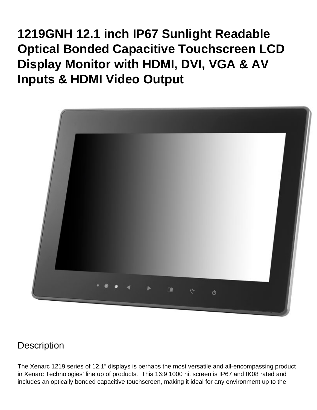**1219GNH 12.1 inch IP67 Sunlight Readable Optical Bonded Capacitive Touchscreen LCD Display Monitor with HDMI, DVI, VGA & AV Inputs & HDMI Video Output**



#### **Description**

The Xenarc 1219 series of 12.1" displays is perhaps the most versatile and all-encompassing product in Xenarc Technologies' line up of products. This 16:9 1000 nit screen is IP67 and IK08 rated and includes an optically bonded capacitive touchscreen, making it ideal for any environment up to the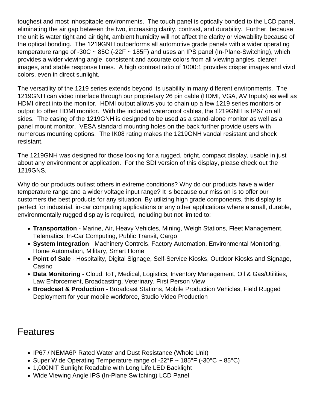toughest and most inhospitable environments. The touch panel is optically bonded to the LCD panel, eliminating the air gap between the two, increasing clarity, contrast, and durability. Further, because the unit is water tight and air tight, ambient humidity will not affect the clarity or viewability because of the optical bonding. The 1219GNH outperforms all automotive grade panels with a wider operating temperature range of -30C  $\sim$  85C (-22F  $\sim$  185F) and uses an IPS panel (In-Plane-Switching), which provides a wider viewing angle, consistent and accurate colors from all viewing angles, clearer images, and stable response times. A high contrast ratio of 1000:1 provides crisper images and vivid colors, even in direct sunlight.

The versatility of the 1219 series extends beyond its usability in many different environments. The 1219GNH can video interface through our proprietary 26 pin cable (HDMI, VGA, AV Inputs) as well as HDMI direct into the monitor. HDMI output allows you to chain up a few 1219 series monitors or output to other HDMI monitor. With the included waterproof cables, the 1219GNH is IP67 on all sides. The casing of the 1219GNH is designed to be used as a stand-alone monitor as well as a panel mount monitor. VESA standard mounting holes on the back further provide users with numerous mounting options. The IK08 rating makes the 1219GNH vandal resistant and shock resistant.

The 1219GNH was designed for those looking for a rugged, bright, compact display, usable in just about any environment or application. For the SDI version of this display, please check out the [1219GNS.](https://www.xenarc.com/1219GNS.html)

Why do our products outlast others in extreme conditions? Why do our products have a wider temperature range and a wider voltage input range? It is because our mission is to offer our customers the best products for any situation. By utilizing high grade components, this display is perfect for industrial, in-car computing applications or any other applications where a small, durable, environmentally rugged display is required, including but not limited to:

- [Transportation](https://www.xenarc.com/in-vehicle-display-monitors-fleet-transportation-management.html) - [Marine](https://www.xenarc.com/marine-outdoor-waterproof-display-monitors.html), Air, Heavy Vehicles, Mining, Weigh Stations, Fleet Management, Telematics, In-Car Computing, Public Transit, Cargo
- [System Integration](https://www.xenarc.com/system-integration-industrial-display-monitors.html) Machinery Controls, Factory Automation, Environmental Monitoring, Home Automation, Military, Smart Home
- [Point of Sale](https://www.xenarc.com/pos-touchscreen-display-monitors.html)  Hospitality, [Digital Signage](https://www.xenarc.com/casino-gaming-and-digital-signage-display-monitors.html), Self-Service Kiosks, Outdoor Kiosks and Signage, Casino
- Data Monitoring Cloud, IoT, [Medical](https://www.xenarc.com/medical-grade-touchscreen-display-monitors.html), Logistics, Inventory Management, Oil & Gas/Utilities, Law Enforcement, Broadcasting, Veterinary, First Person View
- [Broadcast & Production](https://www.xenarc.com/1219GNS-12.1-inch-sunlight-readable-IP67-IK08-optically-bonded-capacitive-touchscreen-with-SDI-HDMI-DVI-VGA-AV-Inputs-hdmi-sdi-video-output.html) Broadcast Stations, Mobile Production Vehicles, Field Rugged Deployment for your mobile workforce, Studio Video Production

#### **Features**

- IP67 / NEMA6P Rated Water and Dust Resistance (Whole Unit)
- Super Wide Operating Temperature range of -22°F  $\sim$  185°F (-30°C  $\sim$  85°C)
- 1,000NIT Sunlight Readable with Long Life LED Backlight
- Wide Viewing Angle IPS (In-Plane Switching) LCD Panel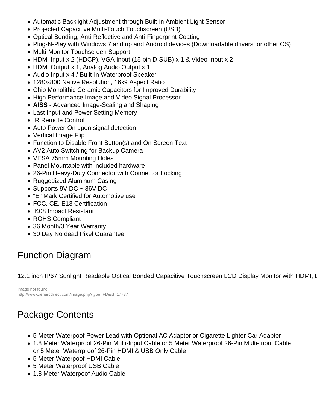- Automatic Backlight Adjustment through Built-in Ambient Light Sensor
- Projected Capacitive Multi-Touch Touchscreen (USB)
- Optical Bonding, Anti-Reflective and Anti-Fingerprint Coating
- Plug-N-Play with Windows 7 and up and Android devices (Downloadable drivers for other OS)
- Multi-Monitor Touchscreen Support
- HDMI Input x 2 (HDCP), VGA Input (15 pin D-SUB) x 1 & Video Input x 2
- HDMI Output x 1, Analog Audio Output x 1
- Audio Input x 4 / Built-In Waterproof Speaker
- 1280x800 Native Resolution, 16x9 Aspect Ratio
- Chip Monolithic Ceramic Capacitors for Improved Durability
- High Performance Image and Video Signal Processor
- AISS Advanced Image-Scaling and Shaping
- Last Input and Power Setting Memory
- IR Remote Control
- Auto Power-On upon signal detection
- Vertical Image Flip
- Function to Disable Front Button(s) and On Screen Text
- AV2 Auto Switching for Backup Camera
- VESA 75mm Mounting Holes
- Panel Mountable with included hardware
- 26-Pin Heavy-Duty Connector with Connector Locking
- Ruggedized Aluminum Casing
- Supports 9V DC  $\sim$  36V DC
- "E" Mark Certified for Automotive use
- FCC, CE, E13 Certification
- IK08 Impact Resistant
- ROHS Compliant
- [36 Month/3 Year Warranty](https://www.xenarc.com/Warranty.html)
- 30 Day No dead Pixel Guarantee

### Function Diagram

12.1 inch IP67 Sunlight Readable Optical Bonded Capacitive Touchscreen LCD Display Monitor with HDMI, I

Image not found http://www.xenarcdirect.com/image.php?type=FD&id=17737

# Package Contents

- 5 Meter Waterpoof Power Lead with Optional AC Adaptor or Cigarette Lighter Car Adaptor
- 1.8 Meter Waterproof 26-Pin Multi-Input Cable or 5 Meter Waterproof 26-Pin Multi-Input Cable or 5 Meter Waterrproof 26-Pin HDMI & USB Only Cable
- 5 Meter Waterpoof HDMI Cable
- 5 Meter Waterproof USB Cable
- 1.8 Meter Waterpoof Audio Cable